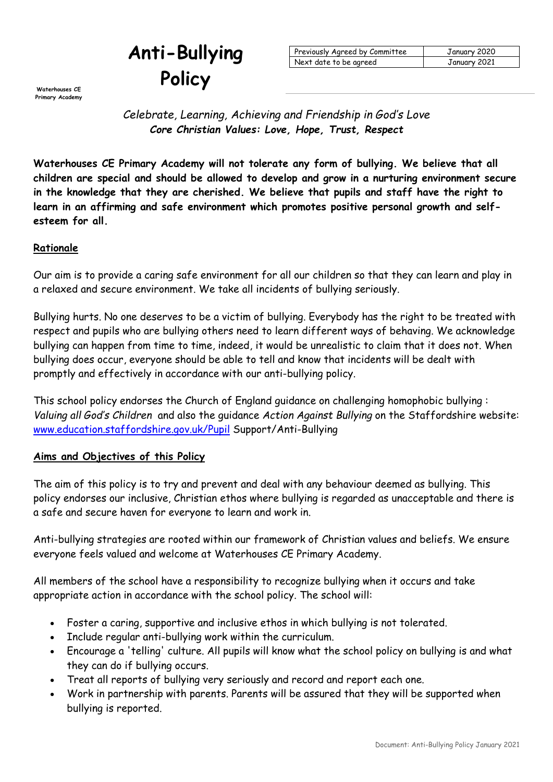# **Anti-Bullying Policy**

**Primary Academy**

| Previously Agreed by Committee | January 2020 |
|--------------------------------|--------------|
| Next date to be agreed         | January 2021 |

*Celebrate, Learning, Achieving and Friendship in God's Love Core Christian Values: Love, Hope, Trust, Respect*

**Waterhouses CE Primary Academy will not tolerate any form of bullying. We believe that all children are special and should be allowed to develop and grow in a nurturing environment secure in the knowledge that they are cherished. We believe that pupils and staff have the right to learn in an affirming and safe environment which promotes positive personal growth and selfesteem for all.**

## **Rationale**

Our aim is to provide a caring safe environment for all our children so that they can learn and play in a relaxed and secure environment. We take all incidents of bullying seriously.

Bullying hurts. No one deserves to be a victim of bullying. Everybody has the right to be treated with respect and pupils who are bullying others need to learn different ways of behaving. We acknowledge bullying can happen from time to time, indeed, it would be unrealistic to claim that it does not. When bullying does occur, everyone should be able to tell and know that incidents will be dealt with promptly and effectively in accordance with our anti-bullying policy.

This school policy endorses the Church of England guidance on challenging homophobic bullying : *Valuing all God's Children* and also the guidance *Action Against Bullying* on the Staffordshire website: [www.education.staffordshire.gov.uk/Pupil](http://www.education.staffordshire.gov.uk/Pupil) Support/Anti-Bullying

#### **Aims and Objectives of this Policy**

The aim of this policy is to try and prevent and deal with any behaviour deemed as bullying. This policy endorses our inclusive, Christian ethos where bullying is regarded as unacceptable and there is a safe and secure haven for everyone to learn and work in.

Anti-bullying strategies are rooted within our framework of Christian values and beliefs. We ensure everyone feels valued and welcome at Waterhouses CE Primary Academy.

All members of the school have a responsibility to recognize bullying when it occurs and take appropriate action in accordance with the school policy. The school will:

- Foster a caring, supportive and inclusive ethos in which bullying is not tolerated.
- Include regular anti-bullying work within the curriculum.
- Encourage a 'telling' culture. All pupils will know what the school policy on bullying is and what they can do if bullying occurs.
- Treat all reports of bullying very seriously and record and report each one.
- Work in partnership with parents. Parents will be assured that they will be supported when bullying is reported.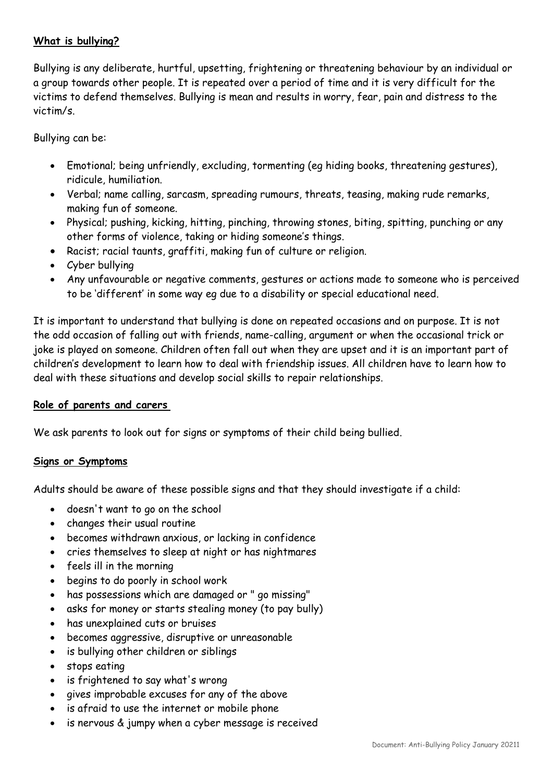## **What is bullying?**

Bullying is any deliberate, hurtful, upsetting, frightening or threatening behaviour by an individual or a group towards other people. It is repeated over a period of time and it is very difficult for the victims to defend themselves. Bullying is mean and results in worry, fear, pain and distress to the victim/s.

Bullying can be:

- Emotional; being unfriendly, excluding, tormenting (eg hiding books, threatening gestures), ridicule, humiliation.
- Verbal; name calling, sarcasm, spreading rumours, threats, teasing, making rude remarks, making fun of someone.
- Physical; pushing, kicking, hitting, pinching, throwing stones, biting, spitting, punching or any other forms of violence, taking or hiding someone's things.
- Racist; racial taunts, graffiti, making fun of culture or religion.
- Cyber bullying
- Any unfavourable or negative comments, gestures or actions made to someone who is perceived to be 'different' in some way eg due to a disability or special educational need.

It is important to understand that bullying is done on repeated occasions and on purpose. It is not the odd occasion of falling out with friends, name-calling, argument or when the occasional trick or joke is played on someone. Children often fall out when they are upset and it is an important part of children's development to learn how to deal with friendship issues. All children have to learn how to deal with these situations and develop social skills to repair relationships.

#### **Role of parents and carers**

We ask parents to look out for signs or symptoms of their child being bullied.

#### **Signs or Symptoms**

Adults should be aware of these possible signs and that they should investigate if a child:

- doesn't want to go on the school
- changes their usual routine
- becomes withdrawn anxious, or lacking in confidence
- cries themselves to sleep at night or has nightmares
- feels ill in the morning
- begins to do poorly in school work
- has possessions which are damaged or " go missing"
- asks for money or starts stealing money (to pay bully)
- has unexplained cuts or bruises
- becomes aggressive, disruptive or unreasonable
- is bullying other children or siblings
- stops eating
- is frightened to say what's wrong
- gives improbable excuses for any of the above
- is afraid to use the internet or mobile phone
- is nervous & jumpy when a cyber message is received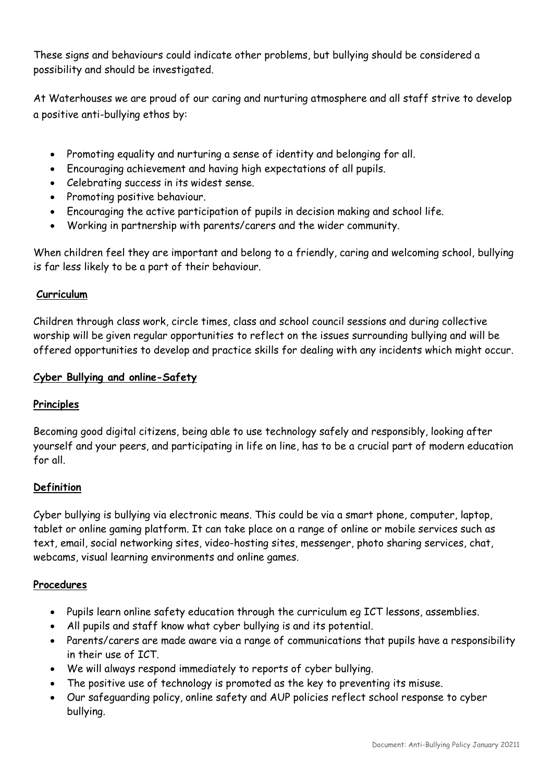These signs and behaviours could indicate other problems, but bullying should be considered a possibility and should be investigated.

At Waterhouses we are proud of our caring and nurturing atmosphere and all staff strive to develop a positive anti-bullying ethos by:

- Promoting equality and nurturing a sense of identity and belonging for all.
- Encouraging achievement and having high expectations of all pupils.
- Celebrating success in its widest sense.
- Promoting positive behaviour.
- Encouraging the active participation of pupils in decision making and school life.
- Working in partnership with parents/carers and the wider community.

When children feel they are important and belong to a friendly, caring and welcoming school, bullying is far less likely to be a part of their behaviour.

## **Curriculum**

Children through class work, circle times, class and school council sessions and during collective worship will be given regular opportunities to reflect on the issues surrounding bullying and will be offered opportunities to develop and practice skills for dealing with any incidents which might occur.

## **Cyber Bullying and online-Safety**

## **Principles**

Becoming good digital citizens, being able to use technology safely and responsibly, looking after yourself and your peers, and participating in life on line, has to be a crucial part of modern education for all.

## **Definition**

Cyber bullying is bullying via electronic means. This could be via a smart phone, computer, laptop, tablet or online gaming platform. It can take place on a range of online or mobile services such as text, email, social networking sites, video-hosting sites, messenger, photo sharing services, chat, webcams, visual learning environments and online games.

#### **Procedures**

- Pupils learn online safety education through the curriculum eg ICT lessons, assemblies.
- All pupils and staff know what cyber bullying is and its potential.
- Parents/carers are made aware via a range of communications that pupils have a responsibility in their use of ICT.
- We will always respond immediately to reports of cyber bullying.
- The positive use of technology is promoted as the key to preventing its misuse.
- Our safeguarding policy, online safety and AUP policies reflect school response to cyber bullying.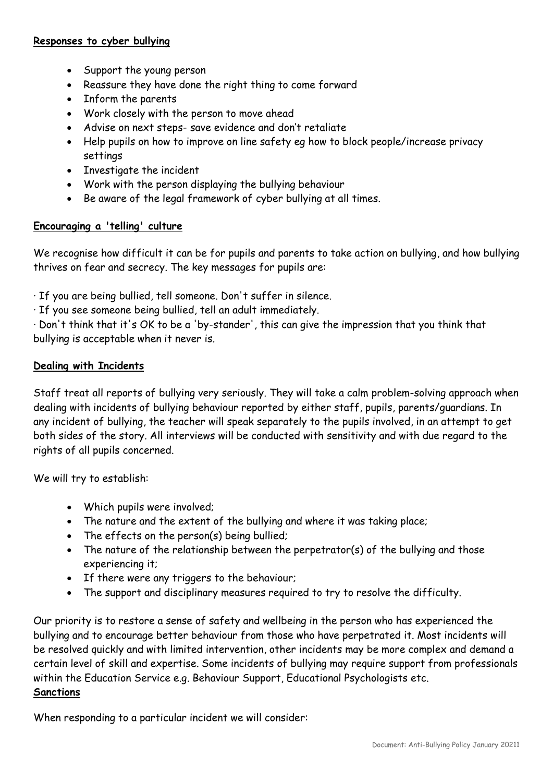#### **Responses to cyber bullying**

- Support the young person
- Reassure they have done the right thing to come forward
- Inform the parents
- Work closely with the person to move ahead
- Advise on next steps- save evidence and don't retaliate
- Help pupils on how to improve on line safety eg how to block people/increase privacy settings
- Investigate the incident
- Work with the person displaying the bullying behaviour
- Be aware of the legal framework of cyber bullying at all times.

## **Encouraging a 'telling' culture**

We recognise how difficult it can be for pupils and parents to take action on bullying, and how bullying thrives on fear and secrecy. The key messages for pupils are:

· If you are being bullied, tell someone. Don't suffer in silence.

· If you see someone being bullied, tell an adult immediately.

· Don't think that it's OK to be a 'by-stander', this can give the impression that you think that bullying is acceptable when it never is.

## **Dealing with Incidents**

Staff treat all reports of bullying very seriously. They will take a calm problem-solving approach when dealing with incidents of bullying behaviour reported by either staff, pupils, parents/guardians. In any incident of bullying, the teacher will speak separately to the pupils involved, in an attempt to get both sides of the story. All interviews will be conducted with sensitivity and with due regard to the rights of all pupils concerned.

We will try to establish:

- Which pupils were involved;
- The nature and the extent of the bullying and where it was taking place;
- The effects on the person(s) being bullied;
- The nature of the relationship between the perpetrator(s) of the bullying and those experiencing it;
- If there were any triggers to the behaviour;
- The support and disciplinary measures required to try to resolve the difficulty.

Our priority is to restore a sense of safety and wellbeing in the person who has experienced the bullying and to encourage better behaviour from those who have perpetrated it. Most incidents will be resolved quickly and with limited intervention, other incidents may be more complex and demand a certain level of skill and expertise. Some incidents of bullying may require support from professionals within the Education Service e.g. Behaviour Support, Educational Psychologists etc. **Sanctions**

When responding to a particular incident we will consider: